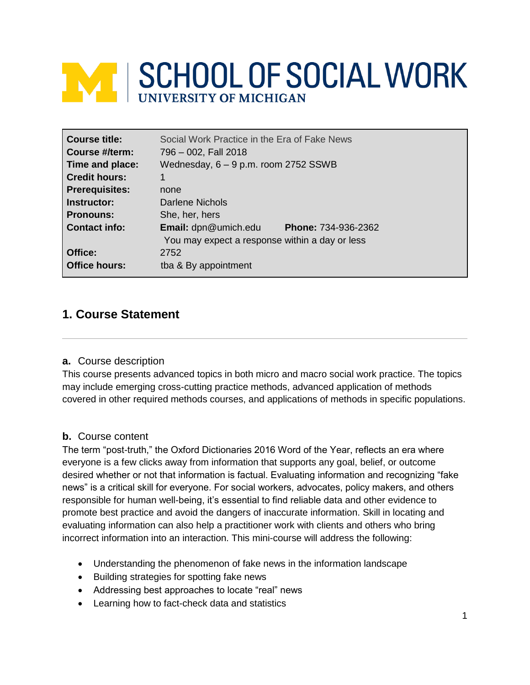# **EXT SCHOOL OF SOCIAL WORK**

| Course title:         | Social Work Practice in the Era of Fake News       |
|-----------------------|----------------------------------------------------|
| Course #/term:        | 796 - 002, Fall 2018                               |
| Time and place:       | Wednesday, 6 – 9 p.m. room 2752 SSWB               |
| <b>Credit hours:</b>  | 1                                                  |
| <b>Prerequisites:</b> | none                                               |
| Instructor:           | Darlene Nichols                                    |
| <b>Pronouns:</b>      | She, her, hers                                     |
| <b>Contact info:</b>  | <b>Email:</b> dpn@umich.edu<br>Phone: 734-936-2362 |
|                       | You may expect a response within a day or less     |
| Office:               | 2752                                               |
| <b>Office hours:</b>  | tba & By appointment                               |

# **1. Course Statement**

### **a.** Course description

This course presents advanced topics in both micro and macro social work practice. The topics may include emerging cross-cutting practice methods, advanced application of methods covered in other required methods courses, and applications of methods in specific populations.

### **b.** Course content

The term "post-truth," the Oxford Dictionaries 2016 Word of the Year, reflects an era where everyone is a few clicks away from information that supports any goal, belief, or outcome desired whether or not that information is factual. Evaluating information and recognizing "fake news" is a critical skill for everyone. For social workers, advocates, policy makers, and others responsible for human well-being, it's essential to find reliable data and other evidence to promote best practice and avoid the dangers of inaccurate information. Skill in locating and evaluating information can also help a practitioner work with clients and others who bring incorrect information into an interaction. This mini-course will address the following:

- Understanding the phenomenon of fake news in the information landscape
- Building strategies for spotting fake news
- Addressing best approaches to locate "real" news
- Learning how to fact-check data and statistics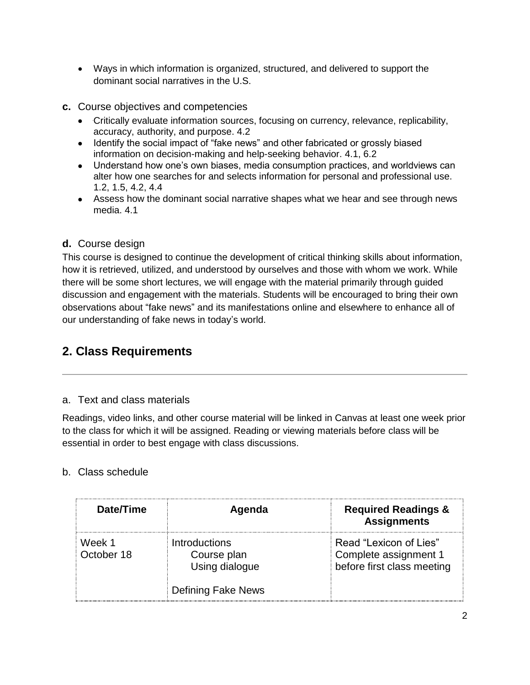- Ways in which information is organized, structured, and delivered to support the dominant social narratives in the U.S.
- **c.** Course objectives and competencies
	- Critically evaluate information sources, focusing on currency, relevance, replicability, accuracy, authority, and purpose. 4.2
	- Identify the social impact of "fake news" and other fabricated or grossly biased information on decision-making and help-seeking behavior. 4.1, 6.2
	- Understand how one's own biases, media consumption practices, and worldviews can alter how one searches for and selects information for personal and professional use. 1.2, 1.5, 4.2, 4.4
	- Assess how the dominant social narrative shapes what we hear and see through news media. 4.1

# **d.** Course design

This course is designed to continue the development of critical thinking skills about information, how it is retrieved, utilized, and understood by ourselves and those with whom we work. While there will be some short lectures, we will engage with the material primarily through guided discussion and engagement with the materials. Students will be encouraged to bring their own observations about "fake news" and its manifestations online and elsewhere to enhance all of our understanding of fake news in today's world.

# **2. Class Requirements**

# a. Text and class materials

Readings, video links, and other course material will be linked in Canvas at least one week prior to the class for which it will be assigned. Reading or viewing materials before class will be essential in order to best engage with class discussions.

# b. Class schedule

| Date/Time            | Agenda                                                | <b>Required Readings &amp;</b><br><b>Assignments</b>                          |
|----------------------|-------------------------------------------------------|-------------------------------------------------------------------------------|
| Week 1<br>October 18 | <b>Introductions</b><br>Course plan<br>Using dialogue | Read "Lexicon of Lies"<br>Complete assignment 1<br>before first class meeting |
|                      | <b>Defining Fake News</b>                             |                                                                               |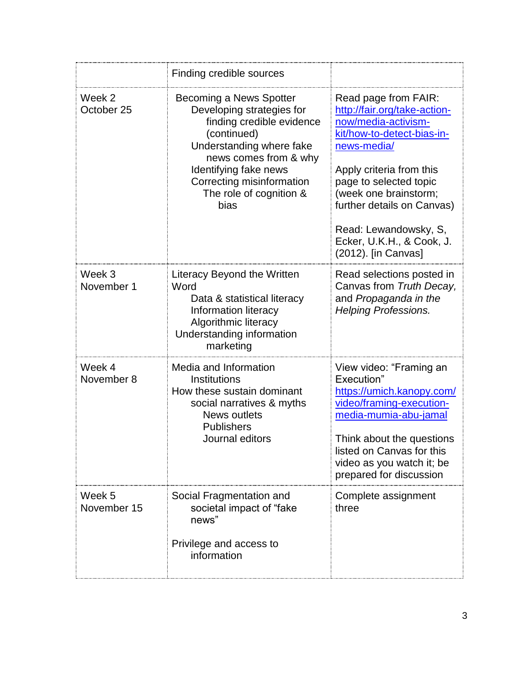|                       | Finding credible sources                                                                                                                                                                                                                       |                                                                                                                                                                                                                                                                                                                    |
|-----------------------|------------------------------------------------------------------------------------------------------------------------------------------------------------------------------------------------------------------------------------------------|--------------------------------------------------------------------------------------------------------------------------------------------------------------------------------------------------------------------------------------------------------------------------------------------------------------------|
| Week 2<br>October 25  | Becoming a News Spotter<br>Developing strategies for<br>finding credible evidence<br>(continued)<br>Understanding where fake<br>news comes from & why<br>Identifying fake news<br>Correcting misinformation<br>The role of cognition &<br>bias | Read page from FAIR:<br>http://fair.org/take-action-<br>now/media-activism-<br>kit/how-to-detect-bias-in-<br>news-media/<br>Apply criteria from this<br>page to selected topic<br>(week one brainstorm;<br>further details on Canvas)<br>Read: Lewandowsky, S,<br>Ecker, U.K.H., & Cook, J.<br>(2012). [in Canvas] |
| Week 3<br>November 1  | Literacy Beyond the Written<br>Word<br>Data & statistical literacy<br>Information literacy<br>Algorithmic literacy<br>Understanding information<br>marketing                                                                                   | Read selections posted in<br>Canvas from Truth Decay,<br>and Propaganda in the<br><b>Helping Professions.</b>                                                                                                                                                                                                      |
| Week 4<br>November 8  | Media and Information<br>Institutions<br>How these sustain dominant<br>social narratives & myths<br><b>News outlets</b><br><b>Publishers</b><br>Journal editors                                                                                | View video: "Framing an<br>Execution"<br>https://umich.kanopy.com/<br>video/framing-execution-<br>media-mumia-abu-jamal<br>Think about the questions<br>listed on Canvas for this<br>video as you watch it; be<br>prepared for discussion                                                                          |
| Week 5<br>November 15 | Social Fragmentation and<br>societal impact of "fake<br>news"<br>Privilege and access to<br>information                                                                                                                                        | Complete assignment<br>three                                                                                                                                                                                                                                                                                       |